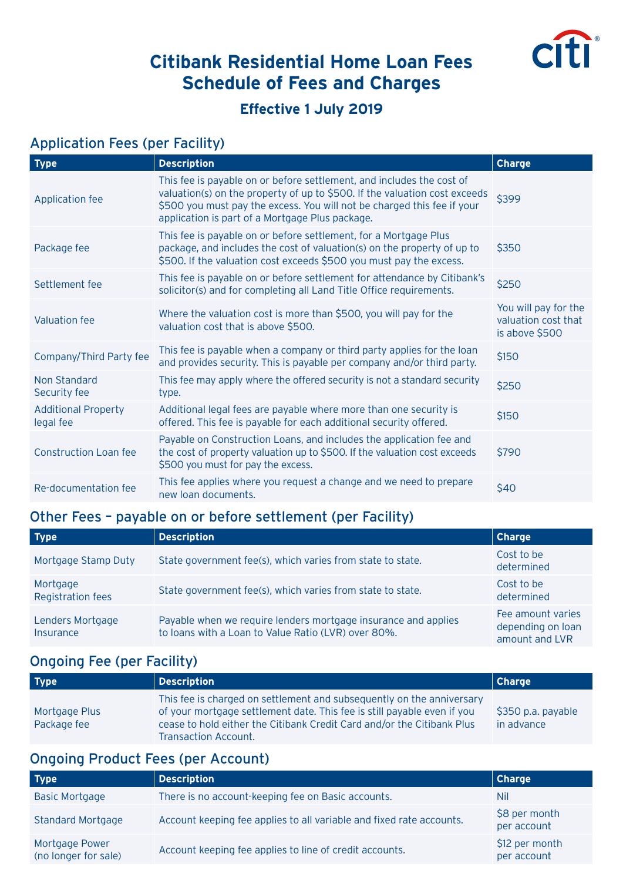

# **Citibank Residential Home Loan Fees Schedule of Fees and Charges**

### **Effective 1 July 2019**

#### Application Fees (per Facility)

| Type                                    | <b>Description</b>                                                                                                                                                                                                                                                                | <b>Charge</b>                                                 |
|-----------------------------------------|-----------------------------------------------------------------------------------------------------------------------------------------------------------------------------------------------------------------------------------------------------------------------------------|---------------------------------------------------------------|
| Application fee                         | This fee is payable on or before settlement, and includes the cost of<br>valuation(s) on the property of up to \$500. If the valuation cost exceeds<br>\$500 you must pay the excess. You will not be charged this fee if your<br>application is part of a Mortgage Plus package. | \$399                                                         |
| Package fee                             | This fee is payable on or before settlement, for a Mortgage Plus<br>package, and includes the cost of valuation(s) on the property of up to<br>\$500. If the valuation cost exceeds \$500 you must pay the excess.                                                                | \$350                                                         |
| Settlement fee                          | This fee is payable on or before settlement for attendance by Citibank's<br>solicitor(s) and for completing all Land Title Office requirements.                                                                                                                                   | \$250                                                         |
| Valuation fee                           | Where the valuation cost is more than \$500, you will pay for the<br>valuation cost that is above \$500.                                                                                                                                                                          | You will pay for the<br>valuation cost that<br>is above \$500 |
| Company/Third Party fee                 | This fee is payable when a company or third party applies for the loan<br>and provides security. This is payable per company and/or third party.                                                                                                                                  | \$150                                                         |
| Non Standard<br>Security fee            | This fee may apply where the offered security is not a standard security<br>type.                                                                                                                                                                                                 | \$250                                                         |
| <b>Additional Property</b><br>legal fee | Additional legal fees are payable where more than one security is<br>offered. This fee is payable for each additional security offered.                                                                                                                                           | \$150                                                         |
| <b>Construction Loan fee</b>            | Payable on Construction Loans, and includes the application fee and<br>the cost of property valuation up to \$500. If the valuation cost exceeds<br>\$500 you must for pay the excess.                                                                                            | \$790                                                         |
| Re-documentation fee                    | This fee applies where you request a change and we need to prepare<br>new loan documents.                                                                                                                                                                                         | \$40                                                          |

### Other Fees – payable on or before settlement (per Facility)

| <b>Type</b>                          | <b>Description</b>                                                                                                    | <b>Charge</b>                                            |
|--------------------------------------|-----------------------------------------------------------------------------------------------------------------------|----------------------------------------------------------|
| Mortgage Stamp Duty                  | State government fee(s), which varies from state to state.                                                            | Cost to be<br>determined                                 |
| Mortgage<br><b>Registration fees</b> | State government fee(s), which varies from state to state.                                                            | Cost to be<br>determined                                 |
| Lenders Mortgage<br>Insurance        | Payable when we require lenders mortgage insurance and applies<br>to loans with a Loan to Value Ratio (LVR) over 80%. | Fee amount varies<br>depending on loan<br>amount and LVR |

## Ongoing Fee (per Facility)

| <b>Type</b>                  | Description                                                                                                                                                                                                                                        | Charge                           |
|------------------------------|----------------------------------------------------------------------------------------------------------------------------------------------------------------------------------------------------------------------------------------------------|----------------------------------|
| Mortgage Plus<br>Package fee | This fee is charged on settlement and subsequently on the anniversary<br>of your mortgage settlement date. This fee is still payable even if you<br>cease to hold either the Citibank Credit Card and/or the Citibank Plus<br>Transaction Account. | \$350 p.a. payable<br>in advance |

## Ongoing Product Fees (per Account)

| <b>Type</b>                            | <b>Description</b>                                                   | Charge                        |
|----------------------------------------|----------------------------------------------------------------------|-------------------------------|
| <b>Basic Mortgage</b>                  | There is no account-keeping fee on Basic accounts.                   | Nil                           |
| <b>Standard Mortgage</b>               | Account keeping fee applies to all variable and fixed rate accounts. | \$8 per month<br>per account  |
| Mortgage Power<br>(no longer for sale) | Account keeping fee applies to line of credit accounts.              | \$12 per month<br>per account |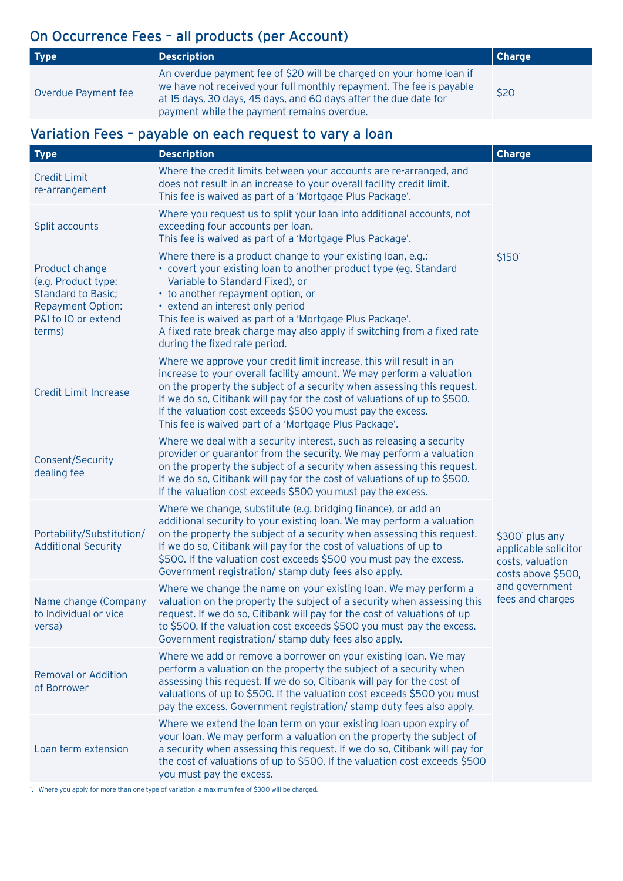## On Occurrence Fees – all products (per Account)

| Type <sup>1</sup>   | Description                                                                                                                                                                                                                                                   | Charge |
|---------------------|---------------------------------------------------------------------------------------------------------------------------------------------------------------------------------------------------------------------------------------------------------------|--------|
| Overdue Payment fee | An overdue payment fee of \$20 will be charged on your home loan if<br>we have not received your full monthly repayment. The fee is payable<br>at 15 days, 30 days, 45 days, and 60 days after the due date for<br>payment while the payment remains overdue. | \$20   |

## Variation Fees – payable on each request to vary a loan

| <b>Type</b>                                                                                                                     | <b>Description</b>                                                                                                                                                                                                                                                                                                                                                                                                          | <b>Charge</b>                                                                                                                       |
|---------------------------------------------------------------------------------------------------------------------------------|-----------------------------------------------------------------------------------------------------------------------------------------------------------------------------------------------------------------------------------------------------------------------------------------------------------------------------------------------------------------------------------------------------------------------------|-------------------------------------------------------------------------------------------------------------------------------------|
| <b>Credit Limit</b><br>re-arrangement                                                                                           | Where the credit limits between your accounts are re-arranged, and<br>does not result in an increase to your overall facility credit limit.<br>This fee is waived as part of a 'Mortgage Plus Package'.                                                                                                                                                                                                                     |                                                                                                                                     |
| Split accounts                                                                                                                  | Where you request us to split your loan into additional accounts, not<br>exceeding four accounts per loan.<br>This fee is waived as part of a 'Mortgage Plus Package'.                                                                                                                                                                                                                                                      |                                                                                                                                     |
| Product change<br>(e.g. Product type:<br><b>Standard to Basic;</b><br><b>Repayment Option:</b><br>P&I to IO or extend<br>terms) | Where there is a product change to your existing loan, e.g.:<br>• covert your existing loan to another product type (eg. Standard<br>Variable to Standard Fixed), or<br>• to another repayment option, or<br>• extend an interest only period<br>This fee is waived as part of a 'Mortgage Plus Package'.<br>A fixed rate break charge may also apply if switching from a fixed rate<br>during the fixed rate period.       | \$1501                                                                                                                              |
| <b>Credit Limit Increase</b>                                                                                                    | Where we approve your credit limit increase, this will result in an<br>increase to your overall facility amount. We may perform a valuation<br>on the property the subject of a security when assessing this request.<br>If we do so, Citibank will pay for the cost of valuations of up to \$500.<br>If the valuation cost exceeds \$500 you must pay the excess.<br>This fee is waived part of a 'Mortgage Plus Package'. |                                                                                                                                     |
| Consent/Security<br>dealing fee                                                                                                 | Where we deal with a security interest, such as releasing a security<br>provider or guarantor from the security. We may perform a valuation<br>on the property the subject of a security when assessing this request.<br>If we do so, Citibank will pay for the cost of valuations of up to \$500.<br>If the valuation cost exceeds \$500 you must pay the excess.                                                          | \$300 <sup>1</sup> plus any<br>applicable solicitor<br>costs, valuation<br>costs above \$500,<br>and government<br>fees and charges |
| Portability/Substitution/<br><b>Additional Security</b>                                                                         | Where we change, substitute (e.g. bridging finance), or add an<br>additional security to your existing loan. We may perform a valuation<br>on the property the subject of a security when assessing this request.<br>If we do so, Citibank will pay for the cost of valuations of up to<br>\$500. If the valuation cost exceeds \$500 you must pay the excess.<br>Government registration/ stamp duty fees also apply.      |                                                                                                                                     |
| Name change (Company<br>to Individual or vice<br>versa)                                                                         | Where we change the name on your existing loan. We may perform a<br>valuation on the property the subject of a security when assessing this<br>request. If we do so, Citibank will pay for the cost of valuations of up<br>to \$500. If the valuation cost exceeds \$500 you must pay the excess.<br>Government registration/ stamp duty fees also apply.                                                                   |                                                                                                                                     |
| <b>Removal or Addition</b><br>of Borrower                                                                                       | Where we add or remove a borrower on your existing loan. We may<br>perform a valuation on the property the subject of a security when<br>assessing this request. If we do so, Citibank will pay for the cost of<br>valuations of up to \$500. If the valuation cost exceeds \$500 you must<br>pay the excess. Government registration/ stamp duty fees also apply.                                                          |                                                                                                                                     |
| Loan term extension                                                                                                             | Where we extend the loan term on your existing loan upon expiry of<br>your loan. We may perform a valuation on the property the subject of<br>a security when assessing this request. If we do so, Citibank will pay for<br>the cost of valuations of up to \$500. If the valuation cost exceeds \$500<br>you must pay the excess.                                                                                          |                                                                                                                                     |

1. Where you apply for more than one type of variation, a maximum fee of \$300 will be charged.